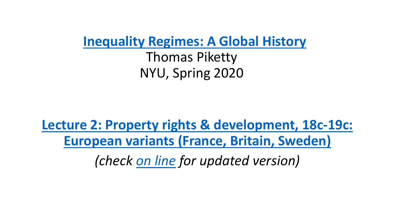**[Inequality Regimes: A Global History](http://piketty.pse.ens.fr/files/PikettyNYU2020Syllabus.pdf)**

Thomas Piketty NYU, Spring 2020

**[Lecture 2: Property rights & development, 18c-19c:](http://piketty.pse.ens.fr/files/PikettyNYU2020Lecture2.pdf) European variants (France, Britain, Sweden)**

*(check [on line](http://piketty.pse.ens.fr/files/PikettyNYU2020Lecture2.pdf) for updated version)*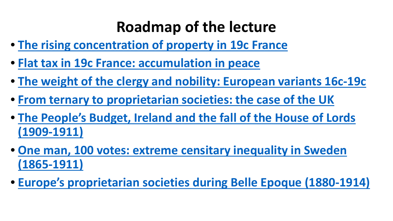# **Roadmap of the lecture**

- **[The rising concentration of property in 19c France](#page-2-0)**
- **[Flat tax in 19c France: accumulation in peace](#page-8-0)**
- **The weight of the clergy [and nobility: European variants](#page-11-0) 16c-19c**
- **From ternary to proprietarian [societies: the case of the UK](#page-14-0)**
- **[The People's Budget, Ireland and the fall](#page-19-0) of the House of Lords (1909-1911)**
- **[One man, 100 votes: extreme](#page-22-0) censitary inequality in Sweden (1865-1911)**
- **Europe's proprietarian societies during [Belle Epoque \(1880-1914\)](#page-25-0)**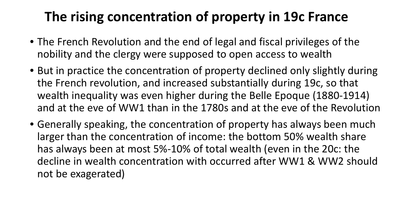# <span id="page-2-0"></span>**The rising concentration of property in 19c France**

- The French Revolution and the end of legal and fiscal privileges of the nobility and the clergy were supposed to open access to wealth
- But in practice the concentration of property declined only slightly during the French revolution, and increased substantially during 19c, so that wealth inequality was even higher during the Belle Epoque (1880-1914) and at the eve of WW1 than in the 1780s and at the eve of the Revolution
- Generally speaking, the concentration of property has always been much larger than the concentration of income: the bottom 50% wealth share has always been at most 5%-10% of total wealth (even in the 20c: the decline in wealth concentration with occurred after WW1 & WW2 should not be exagerated)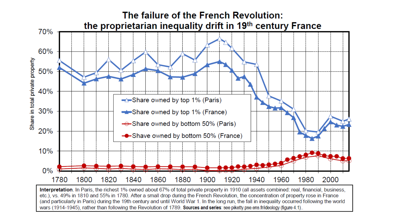

Interpretation. In Paris, the richest 1% owned about 67% of total private property in 1910 (all assets combined: real, financial, business, etc.), vs. 49% in 1810 and 55% in 1780. After a small drop during the French Revolution, the concentration of property rose in France (and particularly in Paris) during the 19th century and until World War 1. In the long run, the fall in inequality occurred following the world wars (1914-1945), rather than following the Revolution of 1789, Sources and series: see piketty.pse.ens.fr/ideology (figure 4.1).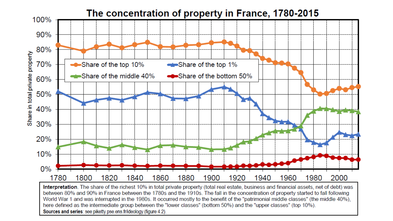

World War 1 and was interrupted in the 1980s. It occurred mostly to the benefit of the "patrimonial middle classes" (the middle 40%), here defined as the intermediate group between the "lower classes" (bottom 50%) and the "upper classes" (top 10%). Sources and series: see piketty.pse.ens.fr/ideology (figure 4.2).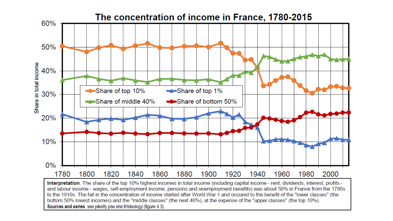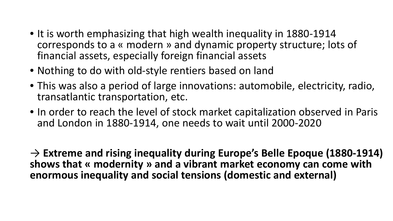- It is worth emphasizing that high wealth inequality in 1880-1914 corresponds to a « modern » and dynamic property structure; lots of financial assets, especially foreign financial assets
- Nothing to do with old-style rentiers based on land
- This was also a period of large innovations: automobile, electricity, radio, transatlantic transportation, etc.
- In order to reach the level of stock market capitalization observed in Paris and London in 1880-1914, one needs to wait until 2000-2020

→ **Extreme and rising inequality during Europe's Belle Epoque (1880-1914) shows that « modernity » and a vibrant market economy can come with enormous inequality and social tensions (domestic and external)**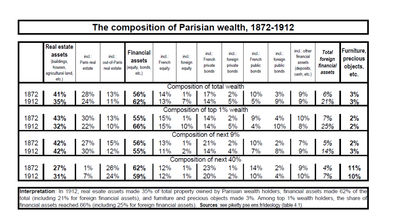#### The composition of Parisian wealth, 1872-1912

|                              | <b>Real estate</b><br>assets<br>(buildings,<br>houses.<br>agricultural land,<br>etc.) | incl.:<br>Paris real<br>estate | incl.:<br>out-of-Paris<br>real estate | <b>Financial</b><br>assets<br>(equity, bonds,<br>etc. | incl.:<br>French<br>equity | incl.:<br>foreign<br>equity | incl.:<br>French<br>private<br>bonds | incl.:<br>foreign<br>private<br>bonds | incl.:<br>French<br>public<br>bonds | $incl.$ :<br>foreign<br>public<br>bonds | incl.: other<br>financial<br>assets<br>(deposits,<br>cash, etc.) | <b>Total</b><br>foreign<br>financial<br>assets | Furniture,<br>precious<br>objects,<br>etc. |
|------------------------------|---------------------------------------------------------------------------------------|--------------------------------|---------------------------------------|-------------------------------------------------------|----------------------------|-----------------------------|--------------------------------------|---------------------------------------|-------------------------------------|-----------------------------------------|------------------------------------------------------------------|------------------------------------------------|--------------------------------------------|
| Composition of total wealth  |                                                                                       |                                |                                       |                                                       |                            |                             |                                      |                                       |                                     |                                         |                                                                  |                                                |                                            |
| 1872<br>1912                 | 41%<br>35%                                                                            | 28%<br>24%                     | 13%<br>11%                            | 56%<br>62%                                            | 14%<br>13%                 | $1\%$<br>7%                 | 17%<br>14%                           | 2%<br>5%                              | 10%<br>5%                           | 3%<br>9%                                | 9%<br>9%                                                         | 6%<br>21%                                      | 3%<br>3%                                   |
| Composition of top 1% wealth |                                                                                       |                                |                                       |                                                       |                            |                             |                                      |                                       |                                     |                                         |                                                                  |                                                |                                            |
| 1872<br>1912                 | 43%<br>32%                                                                            | 30%<br>22%                     | 13%<br>10%                            | 55%<br>66%                                            | 15%<br>15%                 | $1\%$<br>10%                | 14%<br>14%                           | 2%<br>5%                              | 9%<br>4%                            | 4%<br>10%                               | 10%<br>8%                                                        | 7%<br>25%                                      | 2%<br>2%                                   |
| Composition of next 9%       |                                                                                       |                                |                                       |                                                       |                            |                             |                                      |                                       |                                     |                                         |                                                                  |                                                |                                            |
| 1872<br>1912                 | 42%<br>42%                                                                            | 27%<br>30%                     | 15%<br>12%                            | 56%<br>55%                                            | 13%<br>11%                 | $1\%$<br>2%                 | 21%<br>14%                           | 2%<br>4%                              | 10%<br>7%                           | 2%<br>8%                                | 7%<br>9%                                                         | 5%<br>14%                                      | 2%<br>3%                                   |
| Composition of next 40%      |                                                                                       |                                |                                       |                                                       |                            |                             |                                      |                                       |                                     |                                         |                                                                  |                                                |                                            |
| 1872                         | 27%                                                                                   | $1\%$                          | 26%                                   | 62%                                                   | 12%                        | $1\%$                       | 23%                                  | $1\%$                                 | 14%                                 | 2%                                      | 9%                                                               | 4%                                             | 11%                                        |
| 1912                         | 31%                                                                                   | 7%                             | 24%                                   | 59%                                                   | 12%                        | $1\%$                       | 20%                                  | 2%                                    | 10%                                 | 4%                                      | 10%                                                              | 7%                                             | 10%                                        |

Interpretation: In 1912, real esate assets made 35% of total property owned by Parisian wealth holders, financial assets made 62% of the total (including 21% for foreign financial assets), and furniture and precious objects made 3%. Among top 1% wealth holders, the share of financial assets reached 66% (including 25% for foreign financial assets). Sources: see piketty.pse.ens.fr/ideology (table 4.1).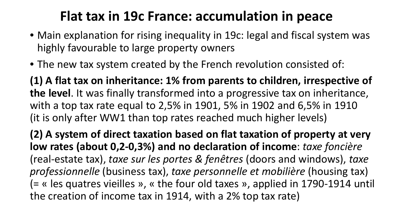### **Flat tax in 19c France: accumulation in peace**

- <span id="page-8-0"></span>• Main explanation for rising inequality in 19c: legal and fiscal system was highly favourable to large property owners
- The new tax system created by the French revolution consisted of:

**(1) A flat tax on inheritance: 1% from parents to children, irrespective of the level**. It was finally transformed into a progressive tax on inheritance, with a top tax rate equal to 2,5% in 1901, 5% in 1902 and 6,5% in 1910 (it is only after WW1 than top rates reached much higher levels)

**(2) A system of direct taxation based on flat taxation of property at very low rates (about 0,2-0,3%) and no declaration of income**: *taxe foncière* (real-estate tax), *taxe sur les portes & fenêtres* (doors and windows), *taxe professionnelle* (business tax), *taxe personnelle et mobilière* (housing tax) (= « les quatres vieilles », « the four old taxes », applied in 1790-1914 until the creation of income tax in 1914, with a 2% top tax rate)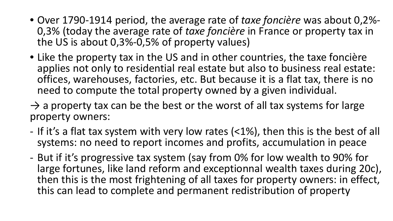- Over 1790-1914 period, the average rate of *taxe foncière* was about 0,2%- 0,3% (today the average rate of *taxe foncière* in France or property tax in the US is about 0,3%-0,5% of property values)
- Like the property tax in the US and in other countries, the taxe foncière applies not only to residential real estate but also to business real estate: offices, warehouses, factories, etc. But because it is a flat tax, there is no need to compute the total property owned by a given individual.
- $\rightarrow$  a property tax can be the best or the worst of all tax systems for large property owners:
- If it's a flat tax system with very low rates (<1%), then this is the best of all systems: no need to report incomes and profits, accumulation in peace
- But if it's progressive tax system (say from 0% for low wealth to 90% for large fortunes, like land reform and exceptionnal wealth taxes during 20c), then this is the most frightening of all taxes for property owners: in effect, this can lead to complete and permanent redistribution of property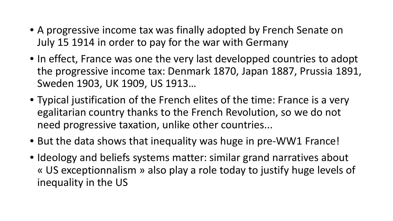- A progressive income tax was finally adopted by French Senate on July 15 1914 in order to pay for the war with Germany
- In effect, France was one the very last developped countries to adopt the progressive income tax: Denmark 1870, Japan 1887, Prussia 1891, Sweden 1903, UK 1909, US 1913…
- Typical justification of the French elites of the time: France is a very egalitarian country thanks to the French Revolution, so we do not need progressive taxation, unlike other countries...
- But the data shows that inequality was huge in pre-WW1 France!
- Ideology and beliefs systems matter: similar grand narratives about « US exceptionnalism » also play a role today to justify huge levels of inequality in the US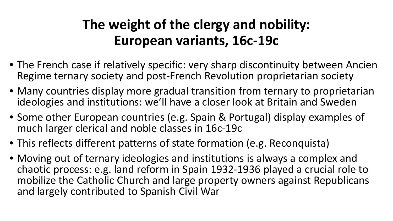# **The weight of the clergy and nobility: European variants, 16c-19c**

- <span id="page-11-0"></span>• The French case if relatively specific: very sharp discontinuity between Ancien Regime ternary society and post-French Revolution proprietarian society
- Many countries display more gradual transition from ternary to proprietarian ideologies and institutions: we'll have a closer look at Britain and Sweden
- Some other European countries (e.g. Spain & Portugal) display examples of much larger clerical and noble classes in 16c-19c
- This reflects different patterns of state formation (e.g. Reconquista)
- Moving out of ternary ideologies and institutions is always a complex and chaotic process: e.g. land reform in Spain 1932-1936 played a crucial role to mobilize the Catholic Church and large property owners against Republicans and largely contributed to Spanish Civil War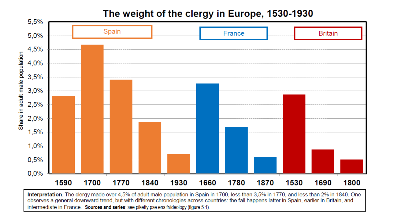### The weight of the clergy in Europe, 1530-1930



Interpretation. The clergy made over 4,5% of adult male population in Spain in 1700, less than 3,5% in 1770, and less than 2% in 1840. One observes a general downward trend, but with different chronologies across countries: the fall happens latter in Spain, earlier in Britain, and intermediate in France. Sources and series: see piketty.pse.ens.fr/ideology (figure 5.1).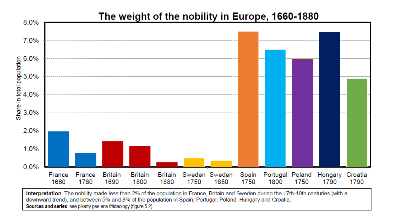

Interpretation. The nobility made less than 2% of the population in France, Britain and Sweden during the 17th-19th centuries (with a downward trend), and between 5% and 8% of the population in Spain, Portugal, Poland, Hungary and Croatia. Sources and series: see piketty.pse.ens.fr/ideology (figure 5.2).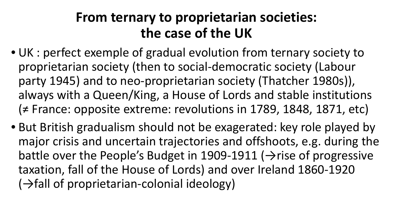### **From ternary to proprietarian societies: the case of the UK**

- <span id="page-14-0"></span>• UK : perfect exemple of gradual evolution from ternary society to proprietarian society (then to social-democratic society (Labour party 1945) and to neo-proprietarian society (Thatcher 1980s)), always with a Queen/King, a House of Lords and stable institutions (≠ France: opposite extreme: revolutions in 1789, 1848, 1871, etc)
- But British gradualism should not be exagerated: key role played by major crisis and uncertain trajectories and offshoots, e.g. during the battle over the People's Budget in 1909-1911 ( $\rightarrow$ rise of progressive taxation, fall of the House of Lords) and over Ireland 1860-1920  $(\rightarrow$  fall of proprietarian-colonial ideology)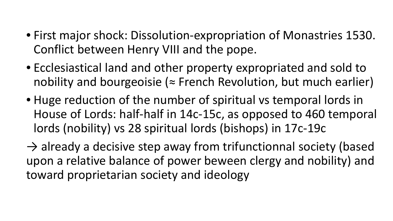- First major shock: Dissolution-expropriation of Monastries 1530. Conflict between Henry VIII and the pope.
- Ecclesiastical land and other property expropriated and sold to nobility and bourgeoisie ( $\approx$  French Revolution, but much earlier)
- Huge reduction of the number of spiritual vs temporal lords in House of Lords: half-half in 14c-15c, as opposed to 460 temporal lords (nobility) vs 28 spiritual lords (bishops) in 17c-19c

 $\rightarrow$  already a decisive step away from trifunctionnal society (based upon a relative balance of power beween clergy and nobility) and toward proprietarian society and ideology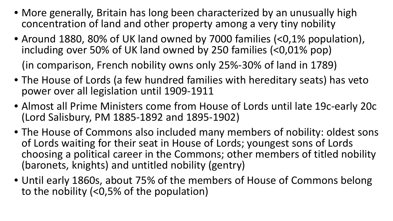- More generally, Britain has long been characterized by an unusually high concentration of land and other property among a very tiny nobility
- Around 1880, 80% of UK land owned by 7000 families (<0,1% population), including over 50% of UK land owned by 250 families (<0,01% pop)

(in comparison, French nobility owns only 25%-30% of land in 1789)

- The House of Lords (a few hundred families with hereditary seats) has veto power over all legislation until 1909-1911
- Almost all Prime Ministers come from House of Lords until late 19c-early 20c (Lord Salisbury, PM 1885-1892 and 1895-1902)
- The House of Commons also included many members of nobility: oldest sons of Lords waiting for their seat in House of Lords; youngest sons of Lords choosing a political career in the Commons; other members of titled nobility (baronets, knights) and untitled nobility (gentry)
- Until early 1860s, about 75% of the members of House of Commons belong to the nobility (<0,5% of the population)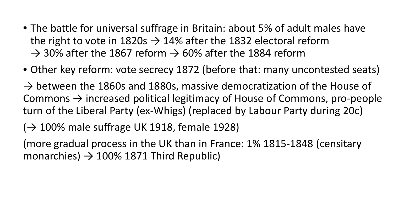- The battle for universal suffrage in Britain: about 5% of adult males have the right to vote in 1820s  $\rightarrow$  14% after the 1832 electoral reform  $\rightarrow$  30% after the 1867 reform  $\rightarrow$  60% after the 1884 reform
- Other key reform: vote secrecy 1872 (before that: many uncontested seats)

 $\rightarrow$  between the 1860s and 1880s, massive democratization of the House of Commons  $\rightarrow$  increased political legitimacy of House of Commons, pro-people turn of the Liberal Party (ex-Whigs) (replaced by Labour Party during 20c)

 $(\rightarrow 100\%$  male suffrage UK 1918, female 1928)

(more gradual process in the UK than in France: 1% 1815-1848 (censitary monarchies)  $\rightarrow$  100% 1871 Third Republic)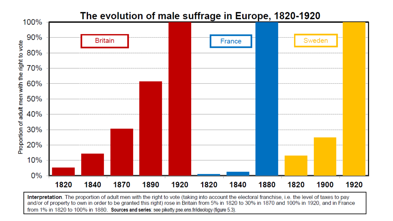

Interpretation. The proportion of adult men with the right to vote (taking into account the electoral franchise, i.e. the level of taxes to pay and/or of property to own in order to be granted this right) rose in Britain from 5% in 1820 to 30% in 1870 and 100% in 1920, and in France from 1% in 1820 to 100% in 1880. Sources and series: see piketty pse ens fr/ideology (figure 5.3).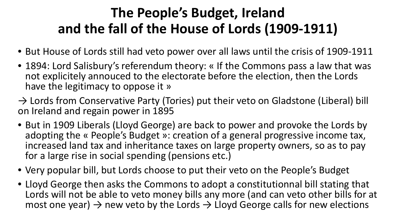# **The People's Budget, Ireland and the fall of the House of Lords (1909-1911)**

- <span id="page-19-0"></span>• But House of Lords still had veto power over all laws until the crisis of 1909-1911
- 1894: Lord Salisbury's referendum theory: « If the Commons pass a law that was not explicitely annouced to the electorate before the election, then the Lords have the legitimacy to oppose it »
- $\rightarrow$  Lords from Conservative Party (Tories) put their veto on Gladstone (Liberal) bill on Ireland and regain power in 1895
- But in 1909 Liberals (Lloyd George) are back to power and provoke the Lords by adopting the « People's Budget »: creation of a general progressive income tax, increased land tax and inheritance taxes on large property owners, so as to pay for a large rise in social spending (pensions etc.)
- Very popular bill, but Lords choose to put their veto on the People's Budget
- Lloyd George then asks the Commons to adopt a constitutionnal bill stating that Lords will not be able to veto money bills any more (and can veto other bills for at most one year)  $\rightarrow$  new veto by the Lords  $\rightarrow$  Lloyd George calls for new elections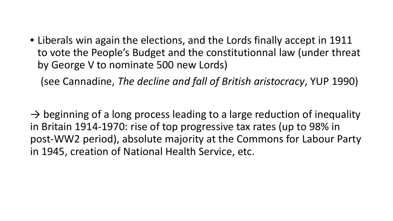• Liberals win again the elections, and the Lords finally accept in 1911 to vote the People's Budget and the constitutionnal law (under threat by George V to nominate 500 new Lords)

(see Cannadine, *The decline and fall of British aristocracy*, YUP 1990)

 $\rightarrow$  beginning of a long process leading to a large reduction of inequality in Britain 1914-1970: rise of top progressive tax rates (up to 98% in post-WW2 period), absolute majority at the Commons for Labour Party in 1945, creation of National Health Service, etc.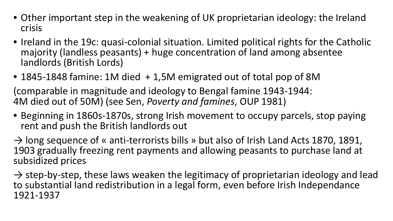- Other important step in the weakening of UK proprietarian ideology: the Ireland crisis
- Ireland in the 19c: quasi-colonial situation. Limited political rights for the Catholic majority (landless peasants) + huge concentration of land among absentee landlords (British Lords)
- 1845-1848 famine: 1M died + 1,5M emigrated out of total pop of 8M

(comparable in magnitude and ideology to Bengal famine 1943-1944: 4M died out of 50M) (see Sen, *Poverty and famines*, OUP 1981)

• Beginning in 1860s-1870s, strong Irish movement to occupy parcels, stop paying rent and push the British landlords out

 $\rightarrow$  long sequence of « anti-terrorists bills » but also of Irish Land Acts 1870, 1891, 1903 gradually freezing rent payments and allowing peasants to purchase land at subsidized prices

 $\rightarrow$  step-by-step, these laws weaken the legitimacy of proprietarian ideology and lead to substantial land redistribution in a legal form, even before Irish Independance 1921-1937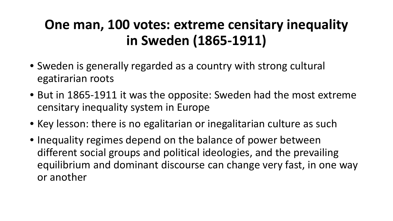# <span id="page-22-0"></span>**One man, 100 votes: extreme censitary inequality in Sweden (1865-1911)**

- Sweden is generally regarded as a country with strong cultural egatirarian roots
- But in 1865-1911 it was the opposite: Sweden had the most extreme censitary inequality system in Europe
- Key lesson: there is no egalitarian or inegalitarian culture as such
- Inequality regimes depend on the balance of power between different social groups and political ideologies, and the prevailing equilibrium and dominant discourse can change very fast, in one way or another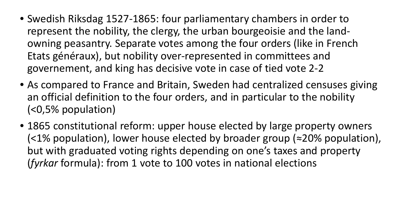- Swedish Riksdag 1527-1865: four parliamentary chambers in order to represent the nobility, the clergy, the urban bourgeoisie and the landowning peasantry. Separate votes among the four orders (like in French Etats généraux), but nobility over-represented in committees and governement, and king has decisive vote in case of tied vote 2-2
- As compared to France and Britain, Sweden had centralized censuses giving an official definition to the four orders, and in particular to the nobility (<0,5% population)
- 1865 constitutional reform: upper house elected by large property owners (<1% population), lower house elected by broader group (≈20% population), but with graduated voting rights depending on one's taxes and property (*fyrkar* formula): from 1 vote to 100 votes in national elections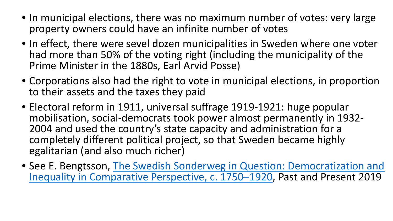- In municipal elections, there was no maximum number of votes: very large property owners could have an infinite number of votes
- In effect, there were sevel dozen municipalities in Sweden where one voter had more than 50% of the voting right (including the municipality of the Prime Minister in the 1880s, Earl Arvid Posse)
- Corporations also had the right to vote in municipal elections, in proportion to their assets and the taxes they paid
- Electoral reform in 1911, universal suffrage 1919-1921: huge popular mobilisation, social-democrats took power almost permanently in 1932- 2004 and used the country's state capacity and administration for a completely different political project, so that Sweden became highly egalitarian (and also much richer)
- See E. Bengtsson, The Swedish Sonderweg in Question: Democratization and [Inequality in Comparative Perspective, c. 1750–1920, Past and Present 2019](http://piketty.pse.ens.fr/files/Bengtsson2019.pdf)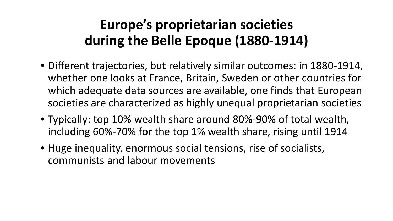# **Europe's proprietarian societies during the Belle Epoque (1880-1914)**

- <span id="page-25-0"></span>• Different trajectories, but relatively similar outcomes: in 1880-1914, whether one looks at France, Britain, Sweden or other countries for which adequate data sources are available, one finds that European societies are characterized as highly unequal proprietarian societies
- Typically: top 10% wealth share around 80%-90% of total wealth, including 60%-70% for the top 1% wealth share, rising until 1914
- Huge inequality, enormous social tensions, rise of socialists, communists and labour movements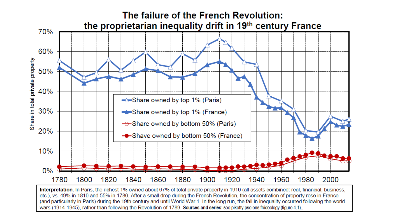

Interpretation. In Paris, the richest 1% owned about 67% of total private property in 1910 (all assets combined: real, financial, business, etc.), vs. 49% in 1810 and 55% in 1780. After a small drop during the French Revolution, the concentration of property rose in France (and particularly in Paris) during the 19th century and until World War 1. In the long run, the fall in inequality occurred following the world wars (1914-1945), rather than following the Revolution of 1789, Sources and series: see piketty.pse.ens.fr/ideology (figure 4.1).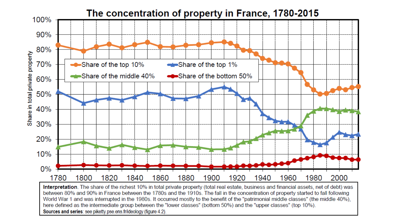

World War 1 and was interrupted in the 1980s. It occurred mostly to the benefit of the "patrimonial middle classes" (the middle 40%), here defined as the intermediate group between the "lower classes" (bottom 50%) and the "upper classes" (top 10%). Sources and series: see piketty.pse.ens.fr/ideology (figure 4.2).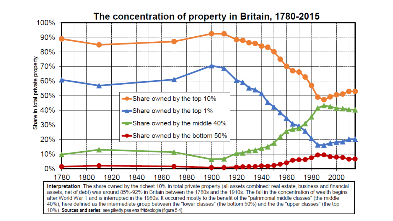

Interpretation. The share owned by the richest 10% in total private property (all assets combined: real estate, business and financial assets, net of debt) was around 85%-92% in Britain between the 1780s and the 1910s. The fall in the concentration of wealth begins after World War 1 and is interrupted in the 1980s. It occurred mostly to the benefit of the "patrimonial middle classes" (the middle 40%), here defined as the intermediate group between the "lower classes" (the bottom 50%) and the the "upper classes" (the top 10%). Sources and series: see piketty.pse.ens.fr/ideologie (figure 5.4).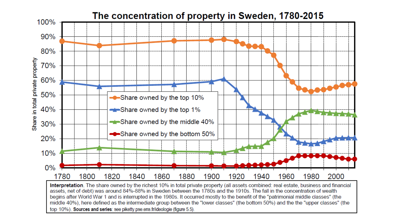

top 10%). Sources and series: see piketty pse ens fr/ideologie (figure 5.5).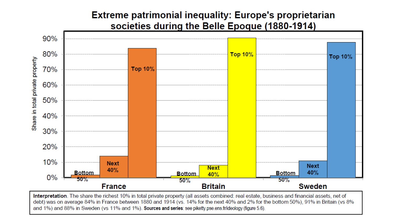### Extreme patrimonial inequality: Europe's proprietarian societies during the Belle Epoque (1880-1914)



Interpretation. The share the richest 10% in total private property (all assets combined: real estate, business and financial assets, net of debt) was on average 84% in France between 1880 and 1914 (vs. 14% for the next 40% and 2% for the bottom 50%), 91% in Britain (vs 8% and 1%) and 88% in Sweden (vs 11% and 1%). Sources and series: see piketty.pse.ens.fr/ideology (figure 5.6).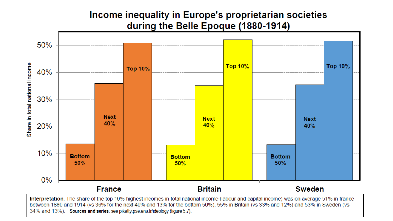### Income inequality in Europe's proprietarian societies during the Belle Epoque (1880-1914)